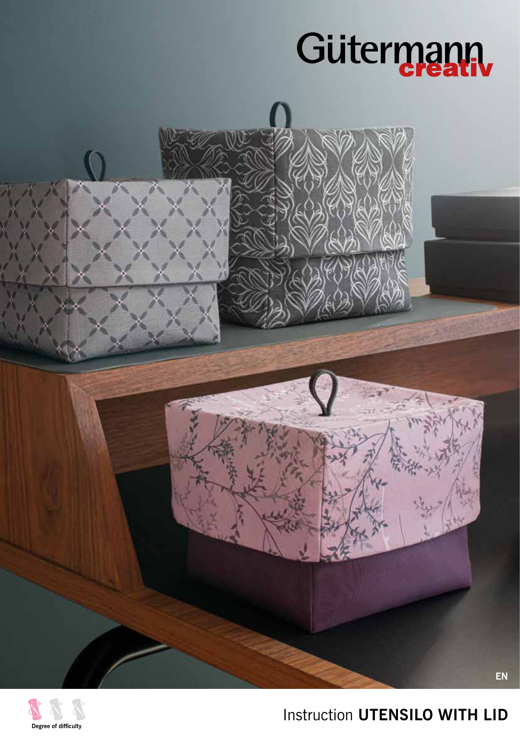





## Instruction **UTENSILO WITH LID**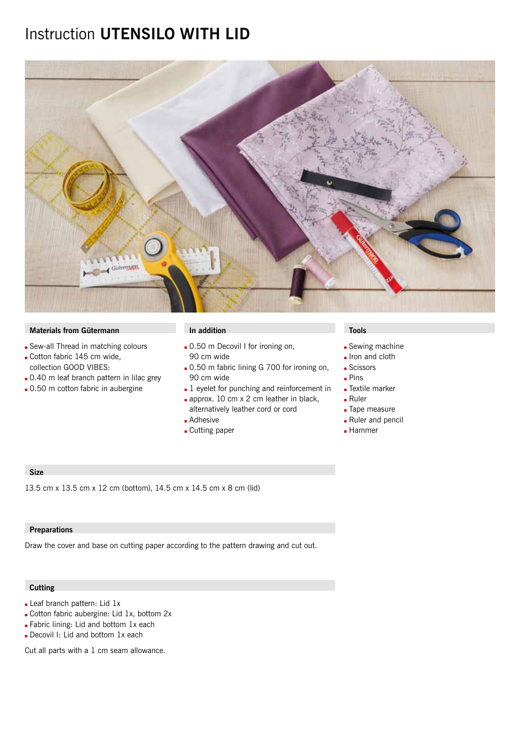## Instruction **UTENSILO WITH LID**



### **Materials from Gütermann In addition In addition In addition In addition In a large View In a large View In a large View In a large View In a large View In a large View In a large View In a large View In a large View In a**

- Sew-all Thread in matching colours
- Gotton fabric 145 cm wide, collection GOOD VIBES:
- . 0.40 m leaf branch pattern in lilac grey
- **.** 0.50 m cotton fabric in aubergine

- 0.50 m Decovil I for ironing on, 90 cm wide
- **.** 0.50 m fabric lining G 700 for ironing on, 90 cm wide
- $\blacksquare$  1 eyelet for punching and reinforcement in approx. 10 cm  $x$  2 cm leather in black,
- alternatively leather cord or cord
- **Adhesive**
- **Cutting paper**

- **Sewing machine**
- Iron and cloth
- **Scissors**
- $Pins$
- **Extile marker**
- $Ruler$
- **Tape measure**
- Ruler and pencil
- **Hammer**

### **Size**

13.5 cm x 13.5 cm x 12 cm (bottom), 14.5 cm x 14.5 cm x 8 cm (lid)

#### **Preparations**

Draw the cover and base on cutting paper according to the pattern drawing and cut out.

#### **Cutting**

- Leaf branch pattern: Lid 1x
- Cotton fabric aubergine: Lid 1x, bottom 2x
- **Fabric lining: Lid and bottom 1x each**
- Decovil I: Lid and bottom 1x each

Cut all parts with a 1 cm seam allowance.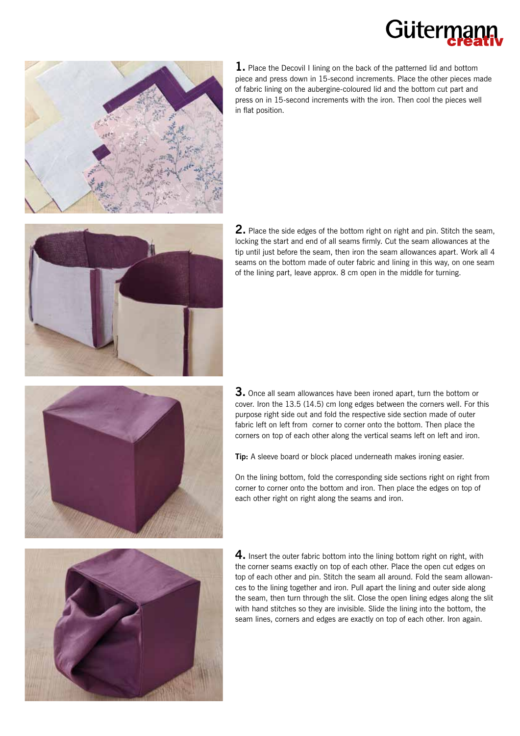# Gütern



**1.** Place the Decovil I lining on the back of the patterned lid and bottom piece and press down in 15-second increments. Place the other pieces made of fabric lining on the aubergine-coloured lid and the bottom cut part and press on in 15-second increments with the iron. Then cool the pieces well in flat position.



**2.** Place the side edges of the bottom right on right and pin. Stitch the seam, locking the start and end of all seams firmly. Cut the seam allowances at the tip until just before the seam, then iron the seam allowances apart. Work all 4 seams on the bottom made of outer fabric and lining in this way, on one seam of the lining part, leave approx. 8 cm open in the middle for turning.



**3.** Once all seam allowances have been ironed apart, turn the bottom or cover. Iron the 13.5 (14.5) cm long edges between the corners well. For this purpose right side out and fold the respective side section made of outer fabric left on left from corner to corner onto the bottom. Then place the corners on top of each other along the vertical seams left on left and iron.

**Tip:** A sleeve board or block placed underneath makes ironing easier.

On the lining bottom, fold the corresponding side sections right on right from corner to corner onto the bottom and iron. Then place the edges on top of each other right on right along the seams and iron.



**4.** Insert the outer fabric bottom into the lining bottom right on right, with the corner seams exactly on top of each other. Place the open cut edges on top of each other and pin. Stitch the seam all around. Fold the seam allowances to the lining together and iron. Pull apart the lining and outer side along the seam, then turn through the slit. Close the open lining edges along the slit with hand stitches so they are invisible. Slide the lining into the bottom, the seam lines, corners and edges are exactly on top of each other. Iron again.